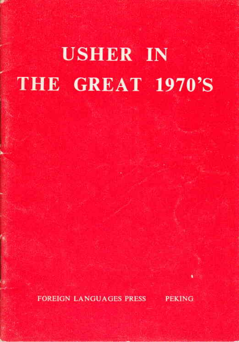## **USHER IN** THE GREAT 1970'S

**FOREIGN LANGUAGES PRESS** 

**PEKING**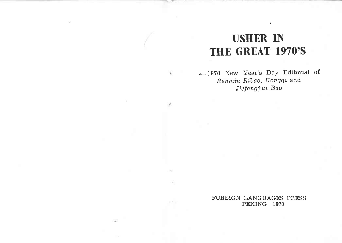## **USHER IN** THE GREAT 1970'S

-1970 New Year's Day Editorial of Renmin Ribao, Hongqi and Jiefangjun Bao

Ÿ.

FOREIGN LANGUAGES PRESS PEKING 1970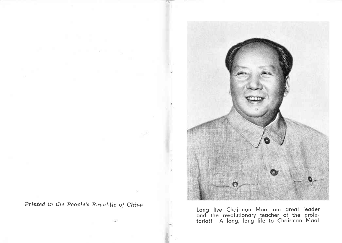

Long live Chairman Mao, our great leader<br>and the revolutionary teacher of the prole-<br>tariat! A long, long life to Chairman Mao!

Printed in the People's Republic of China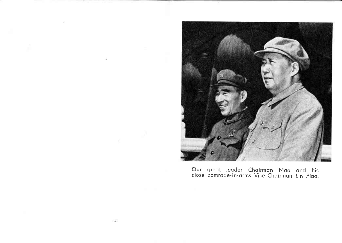

Our great leader Chairman Mao and his<br>close comrade-in-arms Vice-Chairman Lin Piao.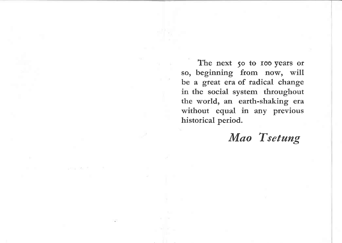The next 50 to 100 years or so, beginning from now, will be a great era of radical change in the social system throughout the world, an earth-shaking era without equal in any previous historical period.

Mao Tsetung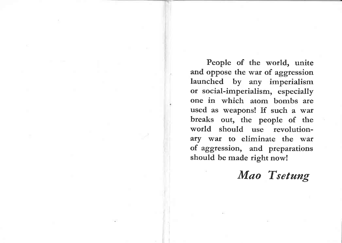People of the world, unite and oppose the war of aggression launched by any imperialism or social-imperialism, especially one in which atom bombs are used as weapons! If such a war breaks out, the people of the world should use revolutionary war to eliminate the war of aggression, and preparations should be made right now!

Mao Tsetung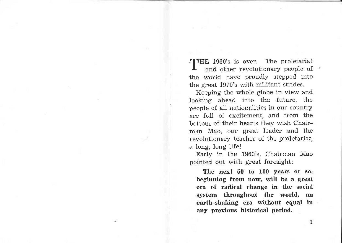THE 1960's is over. The proletariat and other revolutionary people of the world have proudly stepped into the great 1970's with militant strides.

Keeping the whole globe in view and looking ahead into the future, the people of all nationalities in our country are full of excitement, and from the bottom of their hearts they wish Chairman Mao, our great leader and the revolutionary teacher of the proletariat, a long, long life!

Early in the 1960's, Chairman Mao pointed out with great foresight:

The next 50 to 100 years or so, beginning from now, will be a great era of radical change in the social system throughout the world, an earth-shaking era without equal in any previous historical period.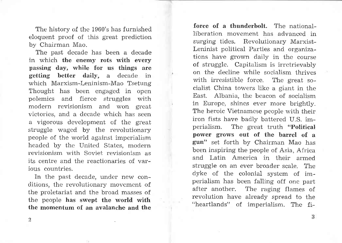The history of the 1960's has furnished eloquent proof of this great prediction by Chairman Mao.

The past decade has been a decade in which the enemy rots with every passing day, while for us things are getting better daily, a decade in which Marxism-Leninism-Mao Tsetung Thought has been engaged in open polemics and fierce struggles modern revisionism and won great victories, and a decade which has seen a vigorous development of the great struggle waged by the revolutionary people of the world against imperialism headed by the United States, modern revisionism with Soviet revisionism as its centre and the reactionaries of various countries.

In the past decade, under new conditions, the revolutionary movement of the proletariat and the broad masses of the people has swept the world with the momentum of an avalanche and the

force of a thunderbolt. The nationalliberation movement has advanced in surging tides. Revolutionary Marxist-Leninist political Parties and organizations have grown daily in the course of struggle. Capitalism is irretrievably on the decline while socialism thrives with irresistible force. The great socialist China towers like a giant in the East. Albania, the beacon of socialism in Europe, shines ever more brightly. The heroic Vietnamese people with their iron fists have badly battered U.S. imperialism. The great truth "Folitical power grows out of the barrel of <sup>a</sup> gun" set forth by Chairman Mao has been inspiring the people of Asia, Africa and Latin America in their armed struggle on an ever broader scale. The dyke of the colonial system of imperialism has been falling off one part after another. The raging flames of revolution have already spread to the "heartlands" of imperialism. The fi-

2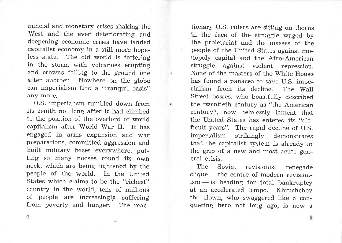nancial and monetary crises shaking the West and the ever deteriorating and deepening economic crises have landed capitalist economy in a still more hope-Iess state. The old world is tottering in the storm with volcanoes erupting and crowns falling to the ground one after another. Nowhere on the globe can imperialism find a "tranquil oasis" any more.

U.S. imperialism tumbled down from its zenith not long after it had climbed to the position of the overlord of world capitalism after World War II. It has engaged in arms expansion and war preparations, committed aggression and built military bases everywhere, putting so many nooses round its own neck, which are being tightened by the people of the world. In the United States which claims to be the "richest" country in the world, tens of millions of people are increasingly suffering from poverty and hunger. The reac-

tionary U.S. rulers are sitting on thorns in the face of the struggle waged by the proletariat and the masses of the people of the United States against monopoly capital and the Afro-American struggle against violent repression. None of the masters of the White House has found a panacea to save U.S. imperialism from its decline. The Wa]l Street bosses, who boastfully described the twentieth century as "the American century", now helplessly lament that the United States has entered its "difficult years". The rapid decline of U.S. imperialism strikingly demonstrates that the capitalist system is already in the grip of a new and most acute general crisis.

The Soviet revisionist renegade clique the centre of modern revisioncique — the centre or modern revision-<br>ism — is heading for total bankruptcy ism — is neading for total bankruptcy<br>at an accelerated tempo. Khrushchov the clown, who swaggered like a conquering hero not long ago, is now a

4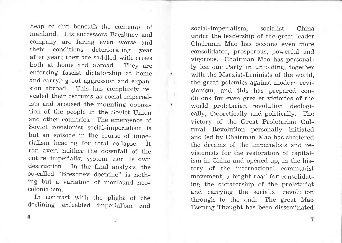heap of dirt beneath the contempt of mankind. His successors Brezhnev and company are faring even worse and their conditions deteriorating year after year; they are saddled with crises both at home and abroad. They are enforcing fascist dictatorship at home and carrying out aggression and expansion abroad. This has completely revealed their features as social-imperialists and aroused the mounting opposition of the peopte in the Soviet Union and other countries. The emergence of Soviet revisionist social-imperialism is but an episode in the course of imperialism heading for total collapse. It can avert neither the downfall of the entire imperialist system, nor its own destruction. In the final analysis, the so-called "Brezhnev doctrine" is nothing but a variation of moribund neocolonialism.

In contrast with the plight of the declining enfeebled imperialism and

social-imperialism, socialist China under the Ieadership of the great leader Chairman Mao has become even more consolidated, prosperous, powerful and vigorous. Chairman Mao has personally led our Party in unfolding, together with the Marxist-Leninists of the world, the great polemics against modern revisionism, and this has prepared conditions for even greater victories of the world proletarian revolution ideologically, theoretically and politically. The victory of the Great Proletarian Cultural Revolution personally initiated and led by Chairman Mao has shattered the dreams of the imperialists and revisionists for the restoration of capitalism in China and opened up, in the history of the international communist movement, a bright road for consolidating the dictatorship of the proletariat and carrying the socialist revolution through to the end. The great Mao Tsetung Thought has been disseminated'

6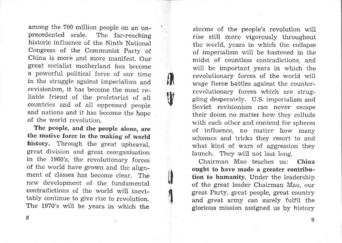among the 700 million people on an unprecedented scale. The far-reaching historic influence of the Ninth National Congress of the Communist Party of China is more and more manifest. Our great socialist motherland has become a powerful political force of our time in the struggle against imperialism and revisionism, it has become the most reliable friend of the proletariat of all countries and of al1 oppressed people and nations and it has become the hope of the world revolution.

 $\mathbf{h}$ 

**V** 

**y** 

I

The people, and the people alone, are the motive force in the making of world history. Through the great upheaval, great division and great reorganization in the 1960's, the revolutionary forces of the world have grown and the alignment of classes has become clear. The new development of the fundamental contradictions of the world will inevitably continue to give rise to revolution. The 1970's will be years in which the

storms of the people's revolution will rise still more vigorously throughout the world, years in which the collapse of imperialism will be hastened in the midst of countless contradictions, and wiII be important years in which the revolutionary forces of the world wiII wage fierce battles against the counterrevolutionary forces which are struggling desperately. U.S. imperialism and Soviet revisionism can never escape their doom no matter how they collude with each other and contend for spheres of influence, no matter how many schemes and tricks they resort to and what kind of Wars of aggression they launch. They will not last long.

Chairman Mao teaches us: China ought to have made a greater contribution to humanity. Under the leadership of the great leader Chairman Mao, our great Party, great people, great country and great army can surely fulfil the glorious mission assigned us by history

B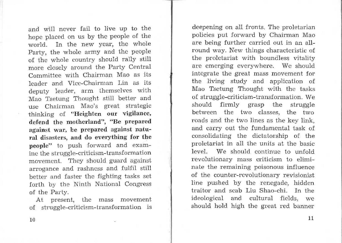and will never fail to live up to the hope placed on us by the people of the world. In the new Year, the whole Party, the whole army and the people of the whole country should rally still more closely around the Party Central Committee with Chairman Mao as its leader and Vice-Chairman Lin as its deputy leader, arm themselves with Mao Tsetung Thought still better and use Chairman Mao's great strategic thinking of "Heighten our vigilance, defend the motherland", "Be prepared against war, be prepared against natural disasters, and do everything for the people" to push forward and examine the struggle-criticism-transformation movement. They should guard against arrogance and rashness and fulfil still better and faster the fighting tasks set forth by the Ninth National Congress of the Party.

At present, the mass movement of struggle-criticism-transformation is

deepening on all fronts. The proletarian policies put forward by Chairman Mao are being further carried out in an allround way. New things characteristic of the proletariat with boundless vitality are emerging everywhere. We should integrate the great mass movement for the living study and application of Mao Tsetung Thought with the tasks of struggle-criticism-transformation. We should firmly grasp the struggle between the two classes, the two roads and the two lines as the key link, and carry out the fundamental task of consolidating the dictatorship of the proletariat in all the units at the basic level. We should continue to unfold revolutionary mass criticism to eliminate the remaining poisonous influence of the counter-revolutionary revisionist Iine pushed by the renegade, hidden traitor and scab Liu Shao-chi. In the ideological and cultural fields, we should hold high the great red banner

10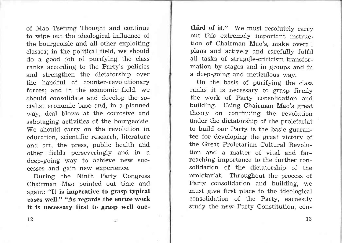of Mao Tsetung Thought and continue to wipe out the ideological influence of the bourgeoisie and all other exploiting classes; in the political field, we should do a good job of purifying the class ranks according to the Party's policies and strengthen the dictatorship over the handful of counter-revolutionary forces; and in the economic field, we should consolidate and develop the socialist economic base and, in a planned way, deal blows at the corrosive and sabotaging activities of the bourgeoisie. We should carry on the revolution in education, scientific research, literature and art, the press, public health ahd other fields perseveringly and in <sup>a</sup> deep-going way to achieve new successes and gain new experience.

During the Ninth Party Congress Chairman Mao pointed out time and again: "It is imperative to grasp typical cases well," "As regards the entire work it is necessary first to grasp well onethird of it." We must resolutely carry out this extremely important instruction of Chairman Mao's, make overall plans and actively and carefully fulfil all tasks of struggle-criticism-transformation by stages and in groups and in a deep-going and meticulous way.

On the basis of purifying the class ranks it is necessary to grasp firmly the work of Party consolidation and building. Using Chairman Mao's great theory on continuing the revolution under the dictatorship of the proletariat to build our Party is the basic guarantee for developing the great victory of the Great Proletarian Cultural Revolution and a matter of vital and farreaching importance to the further consolidation of the dictatorship of the proletariat. Throughout the process of Party consolidation and building, we must give first place to the ideological consolidation of the Party, earnestly study the new Party Constitution, con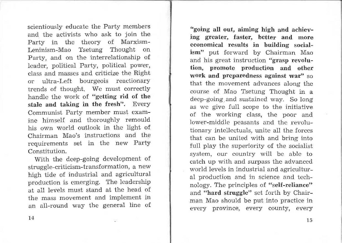scientiously educate the Party members and the activists who ask to join the Party in the theory of Marxism-Leninism-Mao Tsetung Thought on Party, and on the interrelationship of leader, political Party, political power, class and masses and criticize the Right or ultra-Left bourgeois reactionary trends of thought. We must correctly handle the work of "getting rid of the stale and taking in the fresh". Every Communist Party member must examine himself and thoroughly remould his own world outlook in the light of Chairman Mao's instructions and the requirements set in the new Party Constitution.

With the deep-going development of struggle-criticism-transformation, a new high tide of industrial and agricultural production is emerging. The leadership at a1l levels must stand at the head of the mass movement and implement in an all-round way the general line of

"going all out, aiming high and achieving greater, faster, hetter and more economical results in building socialism" put forward by Chairman Mao and his great instruction "grasp revolution, promote production and other work and preparedness against war" so that the movement advances along the course of Mao Tsetung Thought in <sup>a</sup> deep-going and sustained way. So long as we give fuII scope to the initiative of the working class, the poor and lower-middle peasants and the revolutionary intellectuals, unite all the forces that can be united with and bring into full play the superiority of the socialist system, our country will be able to catch up with and suryass the advanced world levels in industrial and agricultural production and in science and technology. The principles of "self-reliance" and "hard struggle" set forth by Chairman Mao should be put into practice in every province, every county, every

l4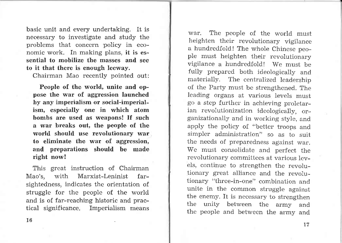basic unit and every undertaking. It is necessary to investigate and study the problems that concern policy in economic work. In making plans, it is essential to mobilize the masses and see to it that there is enough leeway.

Chairman Mao recently pointed out:

People of the world, unite and oppose the war of aggression launched by any imperialism or social-imperialism, especially one in which atom bombs are used as weapons! If such a war breaks out, the peoplo of the world should use revolutionary war to eliminate the war of aggression, and preparations should be made right now!

This great instruction of Chairman Mao's, with Marxist-Leninist farsightedness, indicates the orientation of struggle for the people of the world and is of far-reaching historic and practical significance. Imperialism means

war. The people of the world must heighten their revolutionary vigilance a hundredfold ! The whole Chinese people must heighten their revolutionary vigilance a hundredfold! We must be fully prepared both ideologically and materially. The centralized leadership of the Party must be strengthened. The leading organs at various levels must go a step further in achieving proletarian revolutionization ideologically, organizationally and in working style, and apply the policy of "better troops and simpler administration" so as to suit the needs of preparedness against war. We must consolidate and perfect the revolutionary committees at various levels, continue to strengthen the revolutionary great alliance and the revolutionary "three-in-one" combination and unite in the common struggle against the enemy. It is necessary to strengthen the unity between the army and the people and between the army and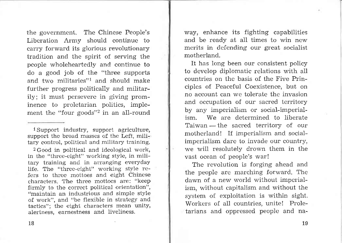the government. The Chinese People's Liberation Army should continue to carry forward its glorious revolutionary tradition and the spirit of serving the people wholeheartedly and continue to do a good job of the "three supports and two militaries"l and should make further progress politically and militarily; it must persevere in giving prominence to proletarian politics, implement the "four goods"2 in an all-round

<sup>1</sup>Support industry, support agriculture, support the broad masses of the Left, mili- $\cdot$ tary oontrol, political and military training.

2Good in political and ideological work, in the "three-eight" working style, in military training and in arranging everyday Iife. The "three-eight" working style refers to three mottoes and eight Chinese characters. The three mottoes are: "keep firmly to the correct political orientation", "maintain an industrious and simple style of work", and "be flexible in strategy and tactics"; the eight characters mean unity, alertness, earnestness and liveliness.

way, enhance its fighting capabilities and be ready at all times to win new merits in defending our great socialist motherland.

It has long been our consistent policy to develop diplomatic relations with all countries on the basis of the Five Principles of Peaceful Coexistence, but on no account can we tolerate the invasion and occupation of our sacred teritory by any imperialism or social-imperialism. We are determined to liberate Taiwan — the sacred territory of our Taiwan — the sacred territory of our<br>motherland! If imperialism and socialimperialism dare to invade our country, we will resolutely drown them in the vast ocean of people's war!

The revolution is forging ahead and the people are marching forward. The dawn of a new world without imperialism, without capitalism and without the system of exploitation is within sight. Workers of all countries, unite! Proletarians and oppressed people and na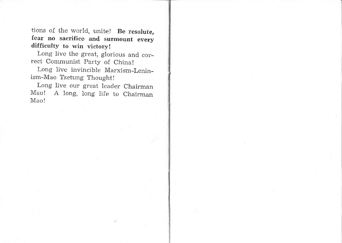tions of the world, unite! Be resolute, fear no sacrifico and surmount every difficulty to win victory!

Long live the great, glorious and correct Communist Party of China!

Long live invincible Marxism-Lenin\_ ism-Mao Tsetung Thought!

Long live our great leader Chairman Mao! A long, long life to Chairman Mao!